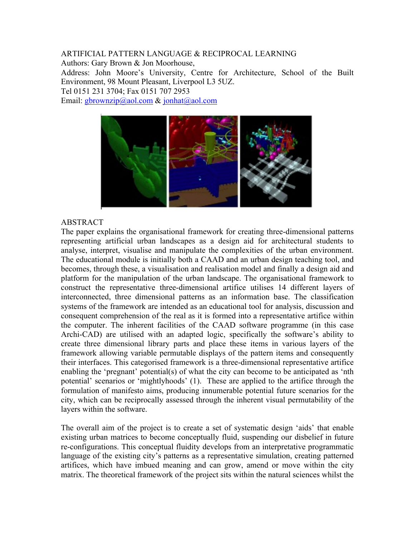ARTIFICIAL PATTERN LANGUAGE & RECIPROCAL LEARNING Authors: Gary Brown & Jon Moorhouse, Address: John Moore's University, Centre for Architecture, School of the Built Environment, 98 Mount Pleasant, Liverpool L3 5UZ. Tel 0151 231 3704; Fax 0151 707 2953 Email: gbrownzip@aol.com & jonhat@aol.com



## ABSTRACT

The paper explains the organisational framework for creating three-dimensional patterns representing artificial urban landscapes as a design aid for architectural students to analyse, interpret, visualise and manipulate the complexities of the urban environment. The educational module is initially both a CAAD and an urban design teaching tool, and becomes, through these, a visualisation and realisation model and finally a design aid and platform for the manipulation of the urban landscape. The organisational framework to construct the representative three-dimensional artifice utilises 14 different layers of interconnected, three dimensional patterns as an information base. The classification systems of the framework are intended as an educational tool for analysis, discussion and consequent comprehension of the real as it is formed into a representative artifice within the computer. The inherent facilities of the CAAD software programme (in this case Archi-CAD) are utilised with an adapted logic, specifically the software's ability to create three dimensional library parts and place these items in various layers of the framework allowing variable permutable displays of the pattern items and consequently their interfaces. This categorised framework is a three-dimensional representative artifice enabling the 'pregnant' potential(s) of what the city can become to be anticipated as 'nth potential' scenarios or 'mightlyhoods' (1). These are applied to the artifice through the formulation of manifesto aims, producing innumerable potential future scenarios for the city, which can be reciprocally assessed through the inherent visual permutability of the layers within the software.

The overall aim of the project is to create a set of systematic design 'aids' that enable existing urban matrices to become conceptually fluid, suspending our disbelief in future re-configurations. This conceptual fluidity develops from an interpretative programmatic language of the existing city's patterns as a representative simulation, creating patterned artifices, which have imbued meaning and can grow, amend or move within the city matrix. The theoretical framework of the project sits within the natural sciences whilst the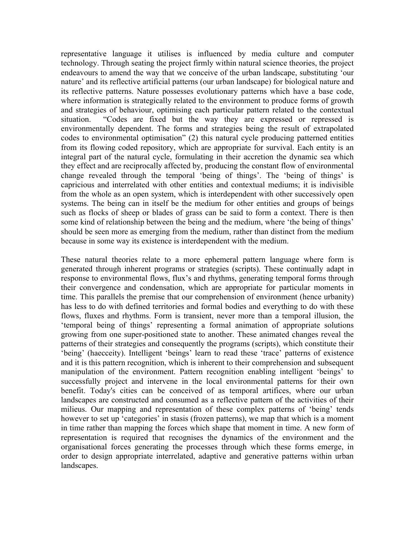representative language it utilises is influenced by media culture and computer technology. Through seating the project firmly within natural science theories, the project endeavours to amend the way that we conceive of the urban landscape, substituting 'our nature' and its reflective artificial patterns (our urban landscape) for biological nature and its reflective patterns. Nature possesses evolutionary patterns which have a base code, where information is strategically related to the environment to produce forms of growth and strategies of behaviour, optimising each particular pattern related to the contextual situation. "Codes are fixed but the way they are expressed or repressed is environmentally dependent. The forms and strategies being the result of extrapolated codes to environmental optimisation" (2) this natural cycle producing patterned entities from its flowing coded repository, which are appropriate for survival. Each entity is an integral part of the natural cycle, formulating in their accretion the dynamic sea which they effect and are reciprocally affected by, producing the constant flow of environmental change revealed through the temporal 'being of things'. The 'being of things' is capricious and interrelated with other entities and contextual mediums; it is indivisible from the whole as an open system, which is interdependent with other successively open systems. The being can in itself be the medium for other entities and groups of beings such as flocks of sheep or blades of grass can be said to form a context. There is then some kind of relationship between the being and the medium, where 'the being of things' should be seen more as emerging from the medium, rather than distinct from the medium because in some way its existence is interdependent with the medium.

These natural theories relate to a more ephemeral pattern language where form is generated through inherent programs or strategies (scripts). These continually adapt in response to environmental flows, flux's and rhythms, generating temporal forms through their convergence and condensation, which are appropriate for particular moments in time. This parallels the premise that our comprehension of environment (hence urbanity) has less to do with defined territories and formal bodies and everything to do with these flows, fluxes and rhythms. Form is transient, never more than a temporal illusion, the 'temporal being of things' representing a formal animation of appropriate solutions growing from one super-positioned state to another. These animated changes reveal the patterns of their strategies and consequently the programs (scripts), which constitute their 'being' (haecceity). Intelligent 'beings' learn to read these 'trace' patterns of existence and it is this pattern recognition, which is inherent to their comprehension and subsequent manipulation of the environment. Pattern recognition enabling intelligent 'beings' to successfully project and intervene in the local environmental patterns for their own benefit. Today's cities can be conceived of as temporal artifices, where our urban landscapes are constructed and consumed as a reflective pattern of the activities of their milieus. Our mapping and representation of these complex patterns of 'being' tends however to set up 'categories' in stasis (frozen patterns), we map that which is a moment in time rather than mapping the forces which shape that moment in time. A new form of representation is required that recognises the dynamics of the environment and the organisational forces generating the processes through which these forms emerge, in order to design appropriate interrelated, adaptive and generative patterns within urban landscapes.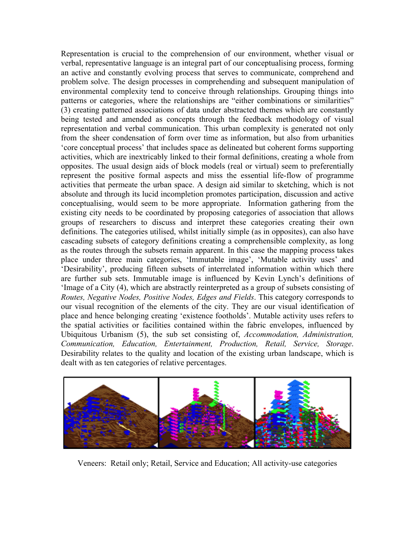Representation is crucial to the comprehension of our environment, whether visual or verbal, representative language is an integral part of our conceptualising process, forming an active and constantly evolving process that serves to communicate, comprehend and problem solve. The design processes in comprehending and subsequent manipulation of environmental complexity tend to conceive through relationships. Grouping things into patterns or categories, where the relationships are "either combinations or similarities" (3) creating patterned associations of data under abstracted themes which are constantly being tested and amended as concepts through the feedback methodology of visual representation and verbal communication. This urban complexity is generated not only from the sheer condensation of form over time as information, but also from urbanities 'core conceptual process' that includes space as delineated but coherent forms supporting activities, which are inextricably linked to their formal definitions, creating a whole from opposites. The usual design aids of block models (real or virtual) seem to preferentially represent the positive formal aspects and miss the essential life-flow of programme activities that permeate the urban space. A design aid similar to sketching, which is not absolute and through its lucid incompletion promotes participation, discussion and active conceptualising, would seem to be more appropriate. Information gathering from the existing city needs to be coordinated by proposing categories of association that allows groups of researchers to discuss and interpret these categories creating their own definitions. The categories utilised, whilst initially simple (as in opposites), can also have cascading subsets of category definitions creating a comprehensible complexity, as long as the routes through the subsets remain apparent. In this case the mapping process takes place under three main categories, 'Immutable image', 'Mutable activity uses' and 'Desirability', producing fifteen subsets of interrelated information within which there are further sub sets. Immutable image is influenced by Kevin Lynch's definitions of 'Image of a City (4), which are abstractly reinterpreted as a group of subsets consisting of *Routes, Negative Nodes, Positive Nodes, Edges and Fields*. This category corresponds to our visual recognition of the elements of the city. They are our visual identification of place and hence belonging creating 'existence footholds'. Mutable activity uses refers to the spatial activities or facilities contained within the fabric envelopes, influenced by Ubiquitous Urbanism (5), the sub set consisting of, *Accommodation, Administration, Communication, Education, Entertainment, Production, Retail, Service, Storage*. Desirability relates to the quality and location of the existing urban landscape, which is dealt with as ten categories of relative percentages.



Veneers: Retail only; Retail, Service and Education; All activity-use categories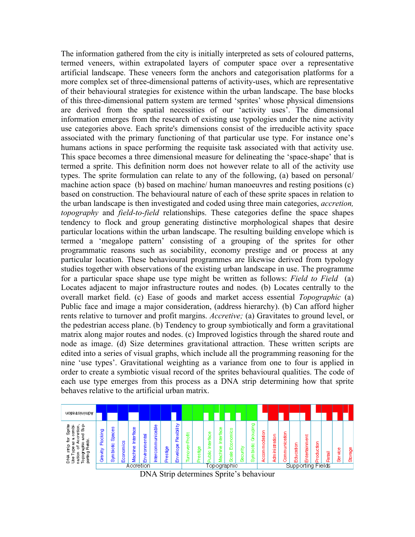The information gathered from the city is initially interpreted as sets of coloured patterns, termed veneers, within extrapolated layers of computer space over a representative artificial landscape. These veneers form the anchors and categorisation platforms for a more complex set of three-dimensional patterns of activity-uses, which are representative of their behavioural strategies for existence within the urban landscape. The base blocks of this three-dimensional pattern system are termed 'sprites' whose physical dimensions are derived from the spatial necessities of our 'activity uses'. The dimensional information emerges from the research of existing use typologies under the nine activity use categories above. Each sprite's dimensions consist of the irreducible activity space associated with the primary functioning of that particular use type. For instance one's humans actions in space performing the requisite task associated with that activity use. This space becomes a three dimensional measure for delineating the 'space-shape' that is termed a sprite. This definition norm does not however relate to all of the activity use types. The sprite formulation can relate to any of the following, (a) based on personal/ machine action space (b) based on machine/ human manoeuvres and resting positions (c) based on construction. The behavioural nature of each of these sprite spaces in relation to the urban landscape is then investigated and coded using three main categories, *accretion, topography* and *field-to-field* relationships. These categories define the space shapes tendency to flock and group generating distinctive morphological shapes that desire particular locations within the urban landscape. The resulting building envelope which is termed a 'megalope pattern' consisting of a grouping of the sprites for other programmatic reasons such as sociability, economy prestige and or process at any particular location. These behavioural programmes are likewise derived from typology studies together with observations of the existing urban landscape in use. The programme for a particular space shape use type might be written as follows: *Field to Field* (a) Locates adjacent to major infrastructure routes and nodes. (b) Locates centrally to the overall market field. (c) Ease of goods and market access essential *Topographic* (a) Public face and image a major consideration, (address hierarchy). (b) Can afford higher rents relative to turnover and profit margins. *Accretive;* (a) Gravitates to ground level, or the pedestrian access plane. (b) Tendency to group symbiotically and form a gravitational matrix along major routes and nodes. (c) Improved logistics through the shared route and node as image. (d) Size determines gravitational attraction. These written scripts are edited into a series of visual graphs, which include all the programming reasoning for the nine 'use types'. Gravitational weighting as a variance from one to four is applied in order to create a symbiotic visual record of the sprites behavioural qualities. The code of each use type emerges from this process as a DNA strip determining how that sprite behaves relative to the artificial urban matrix.



DNA Strip determines Sprite's behaviour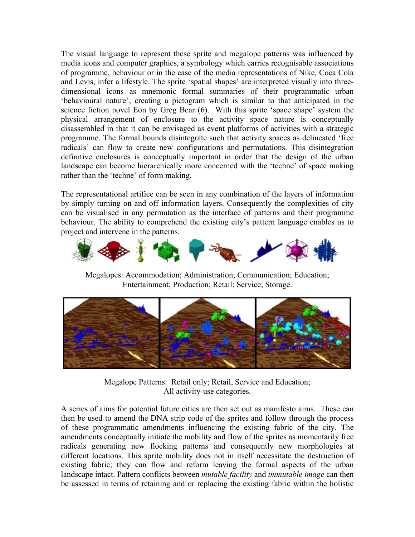The visual language to represent these sprite and megalope patterns was influenced by media icons and computer graphics, a symbology which carries recognisable associations of programme, behaviour or in the case of the media representations of Nike, Coca Cola and Levis, infer a lifestyle. The sprite 'spatial shapes' are interpreted visually into threedimensional icons as mnemonic formal summaries of their programmatic urban 'behavioural nature', creating a pictogram which is similar to that anticipated in the science fiction novel Eon by Greg Bear (6). With this sprite 'space shape' system the physical arrangement of enclosure to the activity space nature is conceptually disassembled in that it can be envisaged as event platforms of activities with a strategic programme. The formal bounds disintegrate such that activity spaces as delineated 'free radicals' can flow to create new configurations and permutations. This disintegration definitive enclosures is conceptually important in order that the design of the urban landscape can become hierarchically more concerned with the 'techne' of space making rather than the 'techne' of form making.

The representational artifice can be seen in any combination of the layers of information by simply turning on and off information layers. Consequently the complexities of city can be visualised in any permutation as the interface of patterns and their programme behaviour. The ability to comprehend the existing city's pattern language enables us to project and intervene in the patterns.



Megalopes: Accommodation; Administration; Communication; Education; Entertainment; Production; Retail; Service; Storage.



Megalope Patterns: Retail only; Retail, Service and Education; All activity-use categories.

A series of aims for potential future cities are then set out as manifesto aims. These can then be used to amend the DNA strip code of the sprites and follow through the process of these programmatic amendments influencing the existing fabric of the city. The amendments conceptually initiate the mobility and flow of the sprites as momentarily free radicals generating new flocking patterns and consequently new morphologies at different locations. This sprite mobility does not in itself necessitate the destruction of existing fabric; they can flow and reform leaving the formal aspects of the urban landscape intact. Pattern conflicts between *mutable facility* and *immutable image* can then be assessed in terms of retaining and or replacing the existing fabric within the holistic